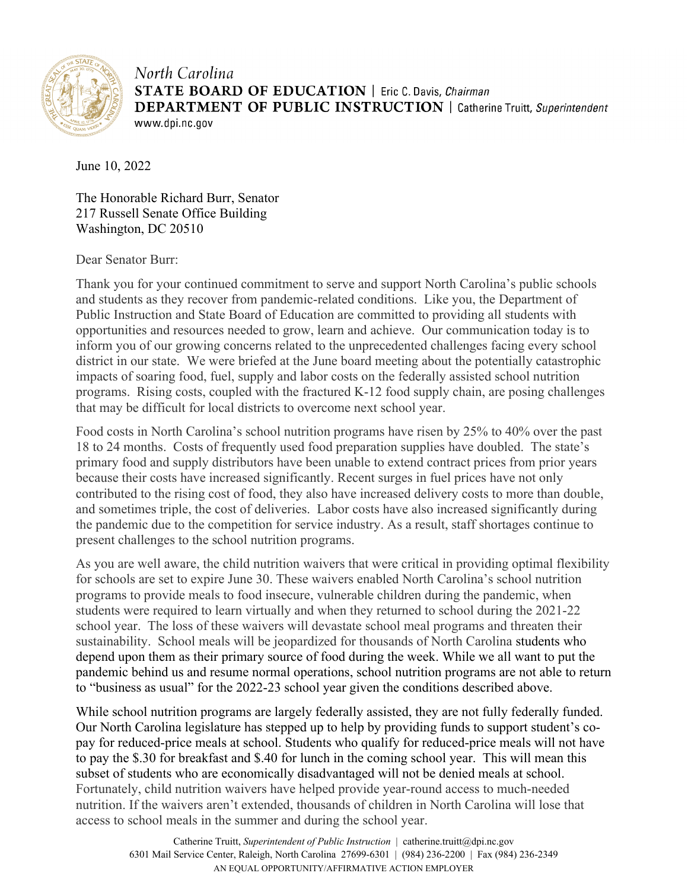

North Carolina **STATE BOARD OF EDUCATION** | Eric C. Davis, Chairman **DEPARTMENT OF PUBLIC INSTRUCTION** | Catherine Truitt, Superintendent www.dpi.nc.gov

June 10, 2022

The Honorable Richard Burr, Senator 217 Russell Senate Office Building Washington, DC 20510

Dear Senator Burr:

Thank you for your continued commitment to serve and support North Carolina's public schools and students as they recover from pandemic-related conditions. Like you, the Department of Public Instruction and State Board of Education are committed to providing all students with opportunities and resources needed to grow, learn and achieve. Our communication today is to inform you of our growing concerns related to the unprecedented challenges facing every school district in our state. We were briefed at the June board meeting about the potentially catastrophic impacts of soaring food, fuel, supply and labor costs on the federally assisted school nutrition programs. Rising costs, coupled with the fractured K-12 food supply chain, are posing challenges that may be difficult for local districts to overcome next school year.

Food costs in North Carolina's school nutrition programs have risen by 25% to 40% over the past 18 to 24 months. Costs of frequently used food preparation supplies have doubled. The state's primary food and supply distributors have been unable to extend contract prices from prior years because their costs have increased significantly. Recent surges in fuel prices have not only contributed to the rising cost of food, they also have increased delivery costs to more than double, and sometimes triple, the cost of deliveries. Labor costs have also increased significantly during the pandemic due to the competition for service industry. As a result, staff shortages continue to present challenges to the school nutrition programs.

As you are well aware, the child nutrition waivers that were critical in providing optimal flexibility for schools are set to expire June 30. These waivers enabled North Carolina's school nutrition programs to provide meals to food insecure, vulnerable children during the pandemic, when students were required to learn virtually and when they returned to school during the 2021-22 school year. The loss of these waivers will devastate school meal programs and threaten their sustainability. School meals will be jeopardized for thousands of North Carolina students who depend upon them as their primary source of food during the week. While we all want to put the pandemic behind us and resume normal operations, school nutrition programs are not able to return to "business as usual" for the 2022-23 school year given the conditions described above.

While school nutrition programs are largely federally assisted, they are not fully federally funded. Our North Carolina legislature has stepped up to help by providing funds to support student's copay for reduced-price meals at school. Students who qualify for reduced-price meals will not have to pay the \$.30 for breakfast and \$.40 for lunch in the coming school year. This will mean this subset of students who are economically disadvantaged will not be denied meals at school. Fortunately, child nutrition waivers have helped provide year-round access to much-needed nutrition. If the waivers aren't extended, thousands of children in North Carolina will lose that access to school meals in the summer and during the school year.